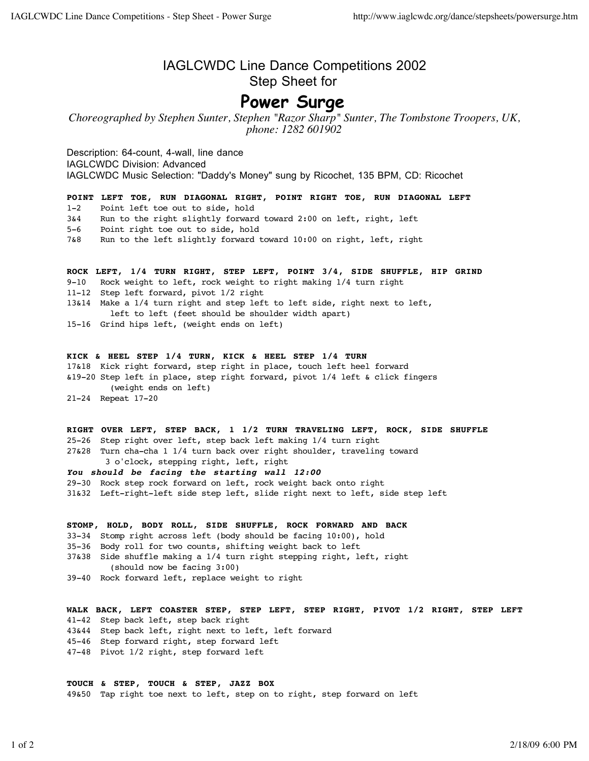## IAGLCWDC Line Dance Competitions 2002 Step Sheet for

## **Power Surge**

*Choreographed by Stephen Sunter, Stephen "Razor Sharp" Sunter, The Tombstone Troopers, UK, phone: 1282 601902*

Description: 64-count, 4-wall, line dance IAGLCWDC Division: Advanced IAGLCWDC Music Selection: "Daddy's Money" sung by Ricochet, 135 BPM, CD: Ricochet

**POINT LEFT TOE, RUN DIAGONAL RIGHT, POINT RIGHT TOE, RUN DIAGONAL LEFT**

1-2 Point left toe out to side, hold

3&4 Run to the right slightly forward toward 2:00 on left, right, left

5-6 Point right toe out to side, hold

7&8 Run to the left slightly forward toward 10:00 on right, left, right

**ROCK LEFT, 1/4 TURN RIGHT, STEP LEFT, POINT 3/4, SIDE SHUFFLE, HIP GRIND**

- 9-10 Rock weight to left, rock weight to right making 1/4 turn right
- 11-12 Step left forward, pivot 1/2 right

13&14 Make a 1/4 turn right and step left to left side, right next to left, left to left (feet should be shoulder width apart)

15-16 Grind hips left, (weight ends on left)

## **KICK & HEEL STEP 1/4 TURN, KICK & HEEL STEP 1/4 TURN**

17&18 Kick right forward, step right in place, touch left heel forward &19-20 Step left in place, step right forward, pivot 1/4 left & click fingers (weight ends on left) 21-24 Repeat 17-20

**RIGHT OVER LEFT, STEP BACK, 1 1/2 TURN TRAVELING LEFT, ROCK, SIDE SHUFFLE**

25-26 Step right over left, step back left making 1/4 turn right 27&28 Turn cha-cha 1 1/4 turn back over right shoulder, traveling toward 3 o'clock, stepping right, left, right

## *You should be facing the starting wall 12:00*

29-30 Rock step rock forward on left, rock weight back onto right

31&32 Left-right-left side step left, slide right next to left, side step left

**STOMP, HOLD, BODY ROLL, SIDE SHUFFLE, ROCK FORWARD AND BACK** 33-34 Stomp right across left (body should be facing 10:00), hold 35-36 Body roll for two counts, shifting weight back to left 37&38 Side shuffle making a 1/4 turn right stepping right, left, right (should now be facing 3:00)

39-40 Rock forward left, replace weight to right

**WALK BACK, LEFT COASTER STEP, STEP LEFT, STEP RIGHT, PIVOT 1/2 RIGHT, STEP LEFT** 41-42 Step back left, step back right 43&44 Step back left, right next to left, left forward 45-46 Step forward right, step forward left 47-48 Pivot 1/2 right, step forward left

**TOUCH & STEP, TOUCH & STEP, JAZZ BOX**

49&50 Tap right toe next to left, step on to right, step forward on left